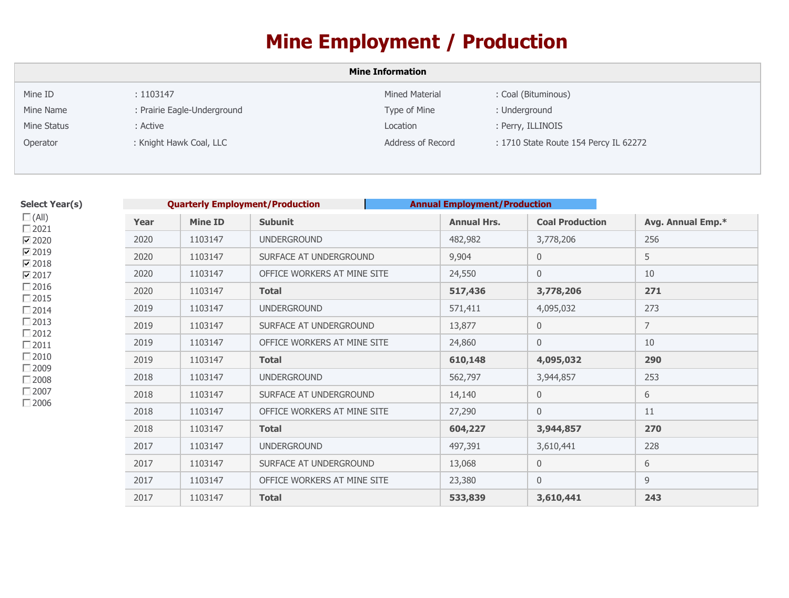## **Mine Employment / Production**

| <b>Mine Information</b> |                             |                   |                                       |  |
|-------------------------|-----------------------------|-------------------|---------------------------------------|--|
| Mine ID                 | : 1103147                   | Mined Material    | : Coal (Bituminous)                   |  |
| Mine Name               | : Prairie Eagle-Underground | Type of Mine      | : Underground                         |  |
| Mine Status             | : Active                    | Location          | : Perry, ILLINOIS                     |  |
| Operator                | : Knight Hawk Coal, LLC     | Address of Record | : 1710 State Route 154 Percy IL 62272 |  |

| Select Year(s)   |
|------------------|
| $\square$ (All)  |
| $\Box$ 2021      |
| $\nabla$ 2020    |
| ☑ 2019           |
| $\nabla$ 2018    |
| $\nabla$ 2017    |
| $\Box$ 2016      |
| $\Box$ 2015      |
| $\Box$ 2014      |
| $\Box$ 2013      |
| $\Box$ 2012      |
| $\Box$ 2011      |
| $\Box$ 2010      |
| □ 2009           |
| $\sqsupset$ 2008 |
| □ 2007           |
| ∃2006            |

| <b>Quarterly Employment/Production</b><br><b>Annual Employment/Production</b> |                |                             |                    |                        |                   |
|-------------------------------------------------------------------------------|----------------|-----------------------------|--------------------|------------------------|-------------------|
| Year                                                                          | <b>Mine ID</b> | <b>Subunit</b>              | <b>Annual Hrs.</b> | <b>Coal Production</b> | Avg. Annual Emp.* |
| 2020                                                                          | 1103147        | <b>UNDERGROUND</b>          | 482,982            | 3,778,206              | 256               |
| 2020                                                                          | 1103147        | SURFACE AT UNDERGROUND      | 9,904              | $\mathbf 0$            | 5                 |
| 2020                                                                          | 1103147        | OFFICE WORKERS AT MINE SITE | 24,550             | $\mathbf 0$            | 10                |
| 2020                                                                          | 1103147        | <b>Total</b>                | 517,436            | 3,778,206              | 271               |
| 2019                                                                          | 1103147        | <b>UNDERGROUND</b>          | 571,411            | 4,095,032              | 273               |
| 2019                                                                          | 1103147        | SURFACE AT UNDERGROUND      | 13,877             | 0                      | $\overline{7}$    |
| 2019                                                                          | 1103147        | OFFICE WORKERS AT MINE SITE | 24,860             | 0                      | 10                |
| 2019                                                                          | 1103147        | <b>Total</b>                | 610,148            | 4,095,032              | 290               |
| 2018                                                                          | 1103147        | <b>UNDERGROUND</b>          | 562,797            | 3,944,857              | 253               |
| 2018                                                                          | 1103147        | SURFACE AT UNDERGROUND      | 14,140             | $\boldsymbol{0}$       | 6                 |
| 2018                                                                          | 1103147        | OFFICE WORKERS AT MINE SITE | 27,290             | $\overline{0}$         | 11                |
| 2018                                                                          | 1103147        | <b>Total</b>                | 604,227            | 3,944,857              | 270               |
| 2017                                                                          | 1103147        | <b>UNDERGROUND</b>          | 497,391            | 3,610,441              | 228               |
| 2017                                                                          | 1103147        | SURFACE AT UNDERGROUND      | 13,068             | $\mathbf 0$            | 6                 |
| 2017                                                                          | 1103147        | OFFICE WORKERS AT MINE SITE | 23,380             | $\overline{0}$         | 9                 |
| 2017                                                                          | 1103147        | <b>Total</b>                | 533,839            | 3,610,441              | 243               |